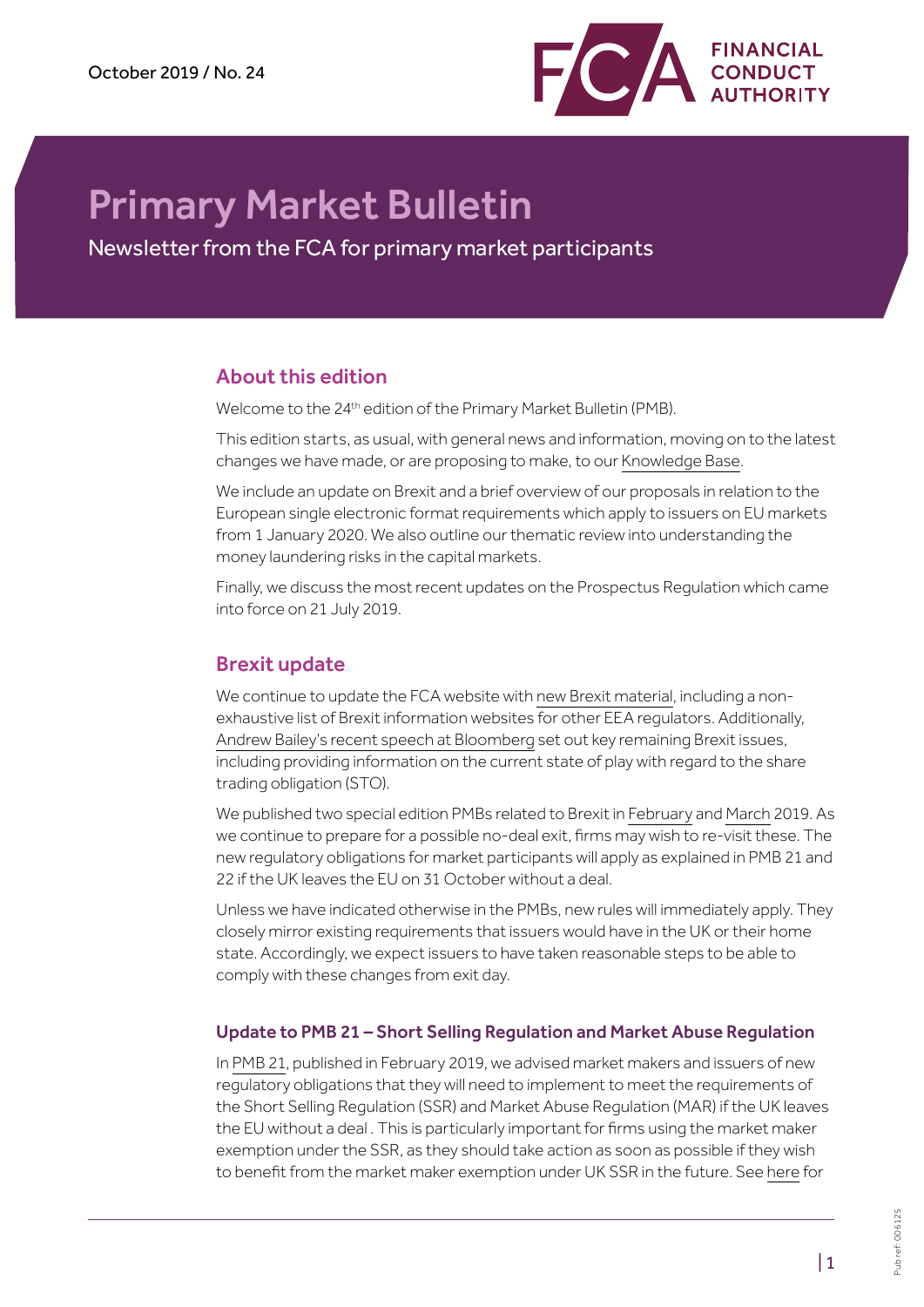

# Primary Market Bulletin

Newsletter from the FCA for primary market participants

# About this edition

Welcome to the 24<sup>th</sup> edition of the Primary Market Bulletin (PMB).

This edition starts, as usual, with general news and information, moving on to the latest changes we have made, or are proposing to make, to our [Knowledge Base](https://www.fca.org.uk/markets/ukla/knowledge-base).

We include an update on Brexit and a brief overview of our proposals in relation to the European single electronic format requirements which apply to issuers on EU markets from 1 January 2020. We also outline our thematic review into understanding the money laundering risks in the capital markets.

Finally, we discuss the most recent updates on the Prospectus Regulation which came into force on 21 July 2019.

# Brexit update

We continue to update the FCA website with [new Brexit material,](https://www.fca.org.uk/firms/preparing-for-brexit) including a nonexhaustive list of Brexit information websites for other EEA regulators. Additionally, [Andrew Bailey's recent speech at Bloomberg](https://www.fca.org.uk/news/speeches/preparing-brexit-financial-services-state-play) set out key remaining Brexit issues, including providing information on the current state of play with regard to the share trading obligation (STO).

We published two special edition PMBs related to Brexit in [February](https://www.fca.org.uk/publication/newsletters/primary-market-bulletin-21.pdf) and [March](https://www.fca.org.uk/publication/newsletters/primary-market-bulletin-22.pdf) 2019. As we continue to prepare for a possible no-deal exit, firms may wish to re-visit these. The new regulatory obligations for market participants will apply as explained in PMB 21 and 22 if the UK leaves the EU on 31 October without a deal.

Unless we have indicated otherwise in the PMBs, new rules will immediately apply. They closely mirror existing requirements that issuers would have in the UK or their home state. Accordingly, we expect issuers to have taken reasonable steps to be able to comply with these changes from exit day.

## Update to PMB 21 – Short Selling Regulation and Market Abuse Regulation

In [PMB 21](https://www.fca.org.uk/publication/newsletters/primary-market-bulletin-21.pdf), published in February 2019, we advised market makers and issuers of new regulatory obligations that they will need to implement to meet the requirements of the Short Selling Regulation (SSR) and Market Abuse Regulation (MAR) if the UK leaves the EU without a deal . This is particularly important for firms using the market maker exemption under the SSR, as they should take action as soon as possible if they wish to benefit from the market maker exemption under UK SSR in the future. See [here](https://www.fca.org.uk/markets/short-selling/exemptions-requirements) for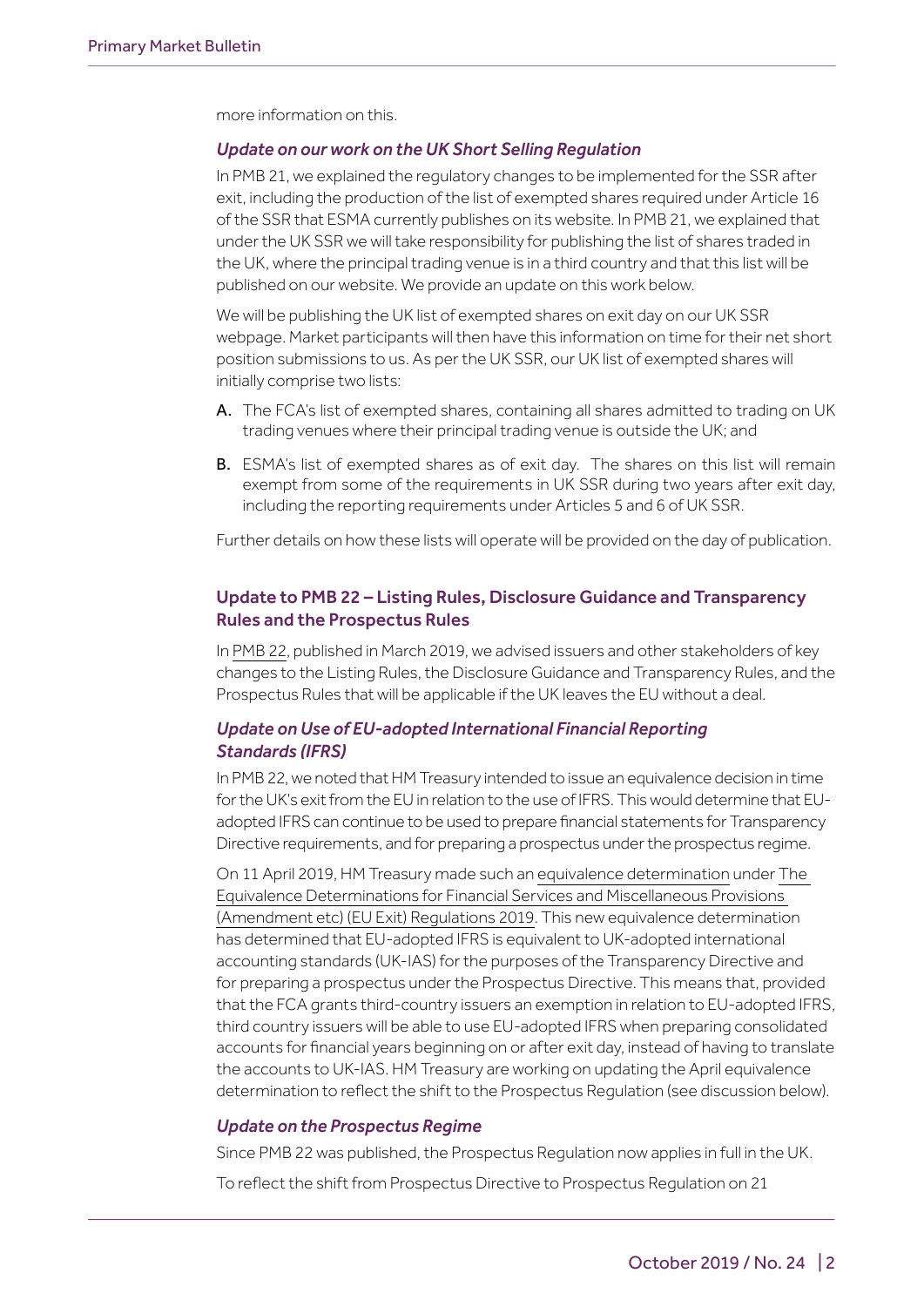more information on this.

#### *Update on our work on the UK Short Selling Regulation*

In PMB 21, we explained the regulatory changes to be implemented for the SSR after exit, including the production of the list of exempted shares required under Article 16 of the SSR that ESMA currently publishes on its website. In PMB 21, we explained that under the UK SSR we will take responsibility for publishing the list of shares traded in the UK, where the principal trading venue is in a third country and that this list will be published on our website. We provide an update on this work below.

We will be publishing the UK list of exempted shares on exit day on our UK SSR webpage. Market participants will then have this information on time for their net short position submissions to us. As per the UK SSR, our UK list of exempted shares will initially comprise two lists:

- A. The FCA's list of exempted shares, containing all shares admitted to trading on UK trading venues where their principal trading venue is outside the UK; and
- **B.** ESMA's list of exempted shares as of exit day. The shares on this list will remain exempt from some of the requirements in UK SSR during two years after exit day, including the reporting requirements under Articles 5 and 6 of UK SSR.

Further details on how these lists will operate will be provided on the day of publication.

## Update to PMB 22 – Listing Rules, Disclosure Guidance and Transparency Rules and the Prospectus Rules

In [PMB 22,](https://www.fca.org.uk/publication/newsletters/primary-market-bulletin-22.pdf) published in March 2019, we advised issuers and other stakeholders of key changes to the Listing Rules, the Disclosure Guidance and Transparency Rules, and the Prospectus Rules that will be applicable if the UK leaves the EU without a deal.

## *Update on Use of EU-adopted International Financial Reporting Standards (IFRS)*

In PMB 22, we noted that HM Treasury intended to issue an equivalence decision in time for the UK's exit from the EU in relation to the use of IFRS. This would determine that EUadopted IFRS can continue to be used to prepare financial statements for Transparency Directive requirements, and for preparing a prospectus under the prospectus regime.

On 11 April 2019, HM Treasury made such an [equivalence determination](http://www.legislation.gov.uk/uksi/2019/541/pdfs/uksiod_20190541_en.pdf) under [The](http://www.legislation.gov.uk/uksi/2019/541/contents/made)  [Equivalence Determinations for Financial Services and Miscellaneous Provisions](http://www.legislation.gov.uk/uksi/2019/541/contents/made)  [\(Amendment etc\) \(EU Exit\) Regulations 2019](http://www.legislation.gov.uk/uksi/2019/541/contents/made). This new equivalence determination has determined that EU-adopted IFRS is equivalent to UK-adopted international accounting standards (UK-IAS) for the purposes of the Transparency Directive and for preparing a prospectus under the Prospectus Directive. This means that, provided that the FCA grants third-country issuers an exemption in relation to EU-adopted IFRS, third country issuers will be able to use EU-adopted IFRS when preparing consolidated accounts for financial years beginning on or after exit day, instead of having to translate the accounts to UK-IAS. HM Treasury are working on updating the April equivalence determination to reflect the shift to the Prospectus Regulation (see discussion below).

#### *Update on the Prospectus Regime*

Since PMB 22 was published, the Prospectus Regulation now applies in full in the UK.

To reflect the shift from Prospectus Directive to Prospectus Regulation on 21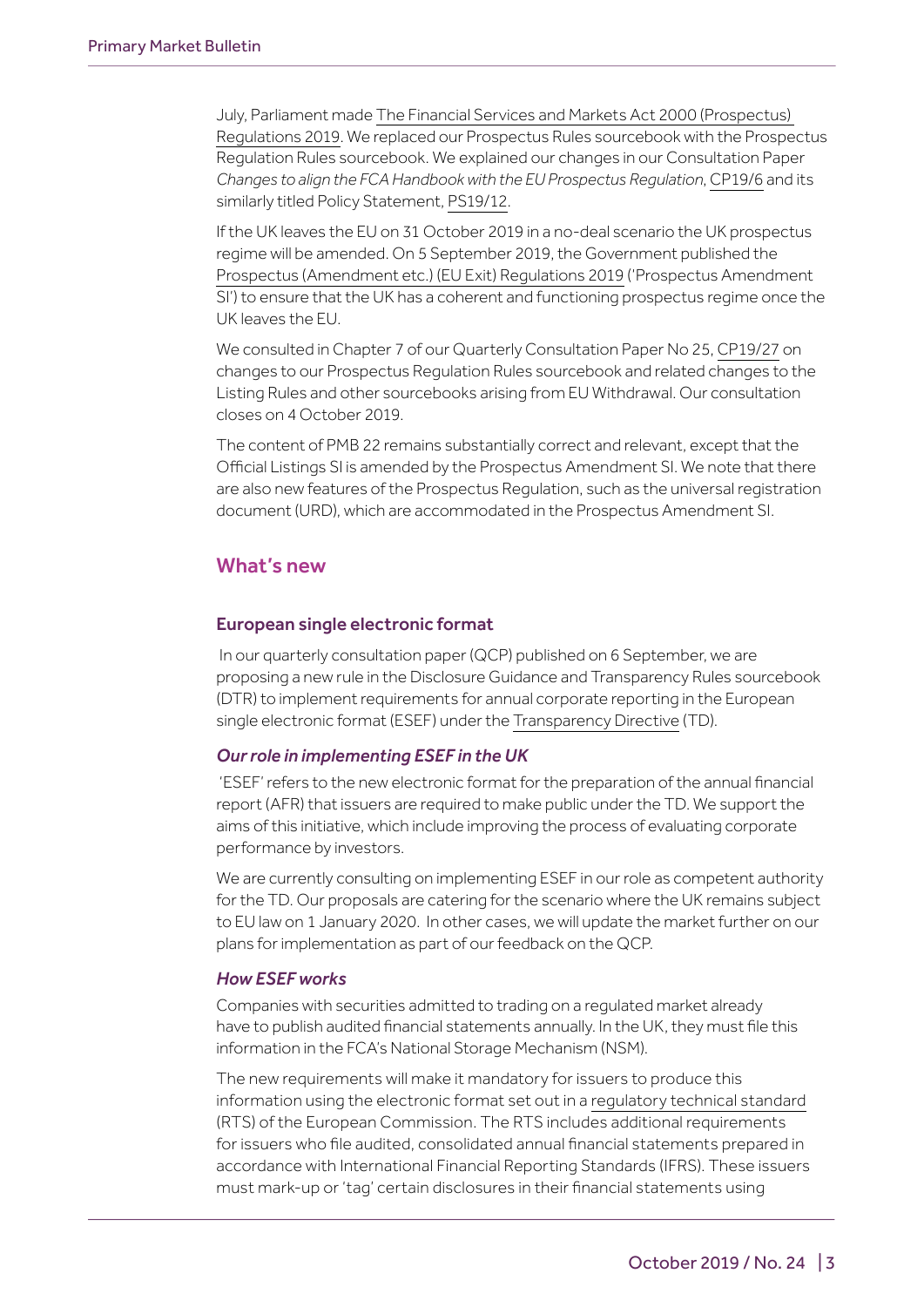July, Parliament made [The Financial Services and Markets Act 2000 \(Prospectus\)](https://www.legislation.gov.uk/uksi/2019/1043/made)  [Regulations 2019](https://www.legislation.gov.uk/uksi/2019/1043/made). We replaced our Prospectus Rules sourcebook with the Prospectus Regulation Rules sourcebook. We explained our changes in our Consultation Paper *Changes to align the FCA Handbook with the EU Prospectus Regulation*, [CP19/6](https://www.fca.org.uk/publication/consultation/cp19-06.pdf) and its similarly titled Policy Statement, [PS19/12.](https://www.fca.org.uk/publications/policy-statement/ps19-12-changes-align-fca-handbook-eu-prospectus-regulation)

If the UK leaves the EU on 31 October 2019 in a no-deal scenario the UK prospectus regime will be amended. On 5 September 2019, the Government published the [Prospectus \(Amendment etc.\) \(EU Exit\) Regulations 2019](http://www.legislation.gov.uk/uksi/2019/1234/contents/made) ('Prospectus Amendment SI') to ensure that the UK has a coherent and functioning prospectus regime once the UK leaves the EU.

We consulted in Chapter 7 of our Quarterly Consultation Paper No 25, [CP19/27](https://www.fca.org.uk/publications/consultation-papers/cp19-27-quarterly-consultation-paper-no-25) on changes to our Prospectus Regulation Rules sourcebook and related changes to the Listing Rules and other sourcebooks arising from EU Withdrawal. Our consultation closes on 4 October 2019.

The content of PMB 22 remains substantially correct and relevant, except that the Official Listings SI is amended by the Prospectus Amendment SI. We note that there are also new features of the Prospectus Regulation, such as the universal registration document (URD), which are accommodated in the Prospectus Amendment SI.

## What's new

## European single electronic format

 In our quarterly consultation paper (QCP) published on 6 September, we are proposing a new rule in the Disclosure Guidance and Transparency Rules sourcebook (DTR) to implement requirements for annual corporate reporting in the European single electronic format (ESEF) under the [Transparency Directive](https://eur-lex.europa.eu/legal-content/EN/TXT/PDF/?uri=CELEX:32004L0109&from=EN) (TD).

## *Our role in implementing ESEF in the UK*

 'ESEF' refers to the new electronic format for the preparation of the annual financial report (AFR) that issuers are required to make public under the TD. We support the aims of this initiative, which include improving the process of evaluating corporate performance by investors.

We are currently consulting on implementing ESEF in our role as competent authority for the TD. Our proposals are catering for the scenario where the UK remains subject to EU law on 1 January 2020. In other cases, we will update the market further on our plans for implementation as part of our feedback on the QCP.

#### *How ESEF works*

Companies with securities admitted to trading on a regulated market already have to publish audited financial statements annually. In the UK, they must file this information in the FCA's National Storage Mechanism (NSM).

The new requirements will make it mandatory for issuers to produce this information using the electronic format set out in a [regulatory technical standard](https://eur-lex.europa.eu/legal-content/EN/TXT/PDF/?uri=CELEX:32019R0815&from=EN) (RTS) of the European Commission. The RTS includes additional requirements for issuers who file audited, consolidated annual financial statements prepared in accordance with International Financial Reporting Standards (IFRS). These issuers must mark-up or 'tag' certain disclosures in their financial statements using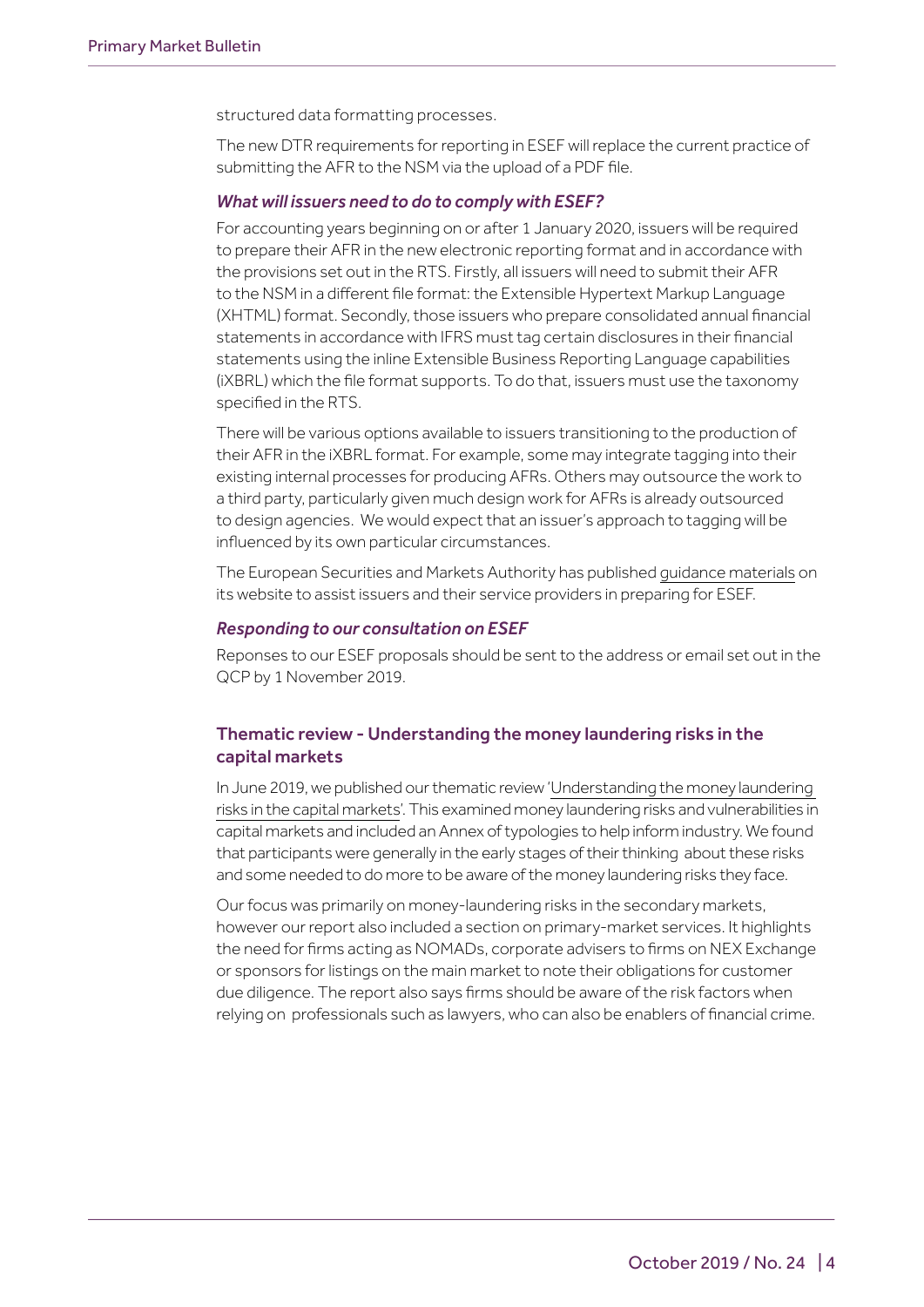structured data formatting processes.

The new DTR requirements for reporting in ESEF will replace the current practice of submitting the AFR to the NSM via the upload of a PDF file.

#### *What will issuers need to do to comply with ESEF?*

For accounting years beginning on or after 1 January 2020, issuers will be required to prepare their AFR in the new electronic reporting format and in accordance with the provisions set out in the RTS. Firstly, all issuers will need to submit their AFR to the NSM in a different file format: the Extensible Hypertext Markup Language (XHTML) format. Secondly, those issuers who prepare consolidated annual financial statements in accordance with IFRS must tag certain disclosures in their financial statements using the inline Extensible Business Reporting Language capabilities (iXBRL) which the file format supports. To do that, issuers must use the taxonomy specified in the RTS.

There will be various options available to issuers transitioning to the production of their AFR in the iXBRL format. For example, some may integrate tagging into their existing internal processes for producing AFRs. Others may outsource the work to a third party, particularly given much design work for AFRs is already outsourced to design agencies. We would expect that an issuer's approach to tagging will be influenced by its own particular circumstances.

The European Securities and Markets Authority has published [guidance materials](https://www.esma.europa.eu/policy-activities/corporate-disclosure/european-single-electronic-format) on its website to assist issuers and their service providers in preparing for ESEF.

#### *Responding to our consultation on ESEF*

Reponses to our ESEF proposals should be sent to the address or email set out in the QCP by 1 November 2019.

## Thematic review - Understanding the money laundering risks in the capital markets

In June 2019, we published our thematic review '[Understanding the money laundering](https://www.fca.org.uk/publications/thematic-reviews/tr19-4-understanding-money-laundering-risks-capital-markets)  [risks in the capital markets'](https://www.fca.org.uk/publications/thematic-reviews/tr19-4-understanding-money-laundering-risks-capital-markets). This examined money laundering risks and vulnerabilities in capital markets and included an Annex of typologies to help inform industry. We found that participants were generally in the early stages of their thinking about these risks and some needed to do more to be aware of the money laundering risks they face.

Our focus was primarily on money-laundering risks in the secondary markets, however our report also included a section on primary-market services. It highlights the need for firms acting as NOMADs, corporate advisers to firms on NEX Exchange or sponsors for listings on the main market to note their obligations for customer due diligence. The report also says firms should be aware of the risk factors when relying on professionals such as lawyers, who can also be enablers of financial crime.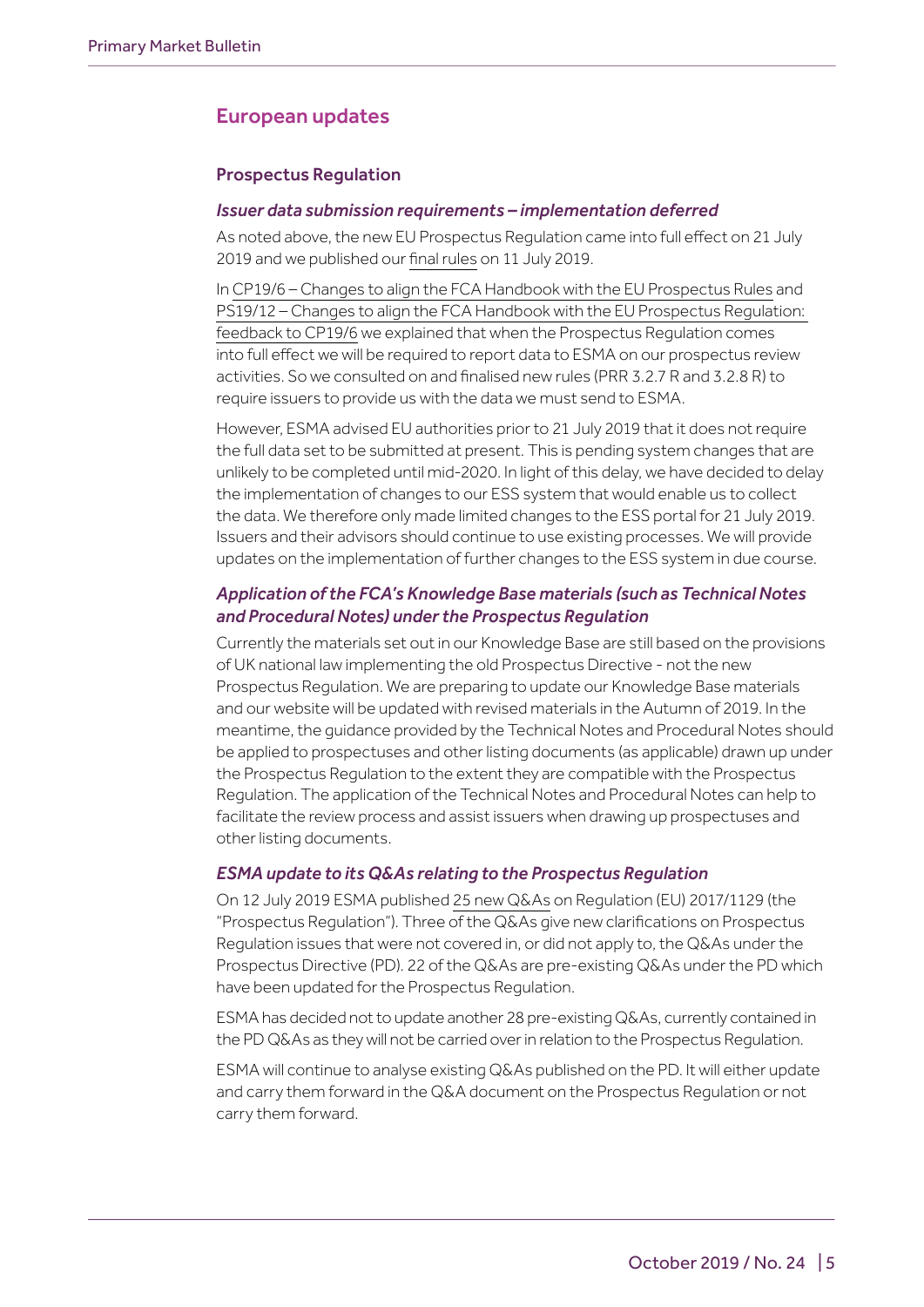# European updates

## Prospectus Regulation

#### *Issuer data submission requirements – implementation deferred*

As noted above, the new EU Prospectus Regulation came into full effect on 21 July 2019 and we published our [final rules](https://www.handbook.fca.org.uk/instrument/2019/FCA_2019_80.pdf) on 11 July 2019.

In [CP19/6 – Changes to align the FCA Handbook with the EU Prospectus Rules](https://www.fca.org.uk/publication/consultation/cp19-06.pdf) and [PS19/12 – Changes to align the FCA Handbook with the EU Prospectus Regulation:](https://www.fca.org.uk/publications/policy-statement/ps19-12-changes-align-fca-handbook-eu-prospectus-regulation)  [feedback to CP19/6](https://www.fca.org.uk/publications/policy-statement/ps19-12-changes-align-fca-handbook-eu-prospectus-regulation) we explained that when the Prospectus Regulation comes into full effect we will be required to report data to ESMA on our prospectus review activities. So we consulted on and finalised new rules (PRR 3.2.7 R and 3.2.8 R) to require issuers to provide us with the data we must send to ESMA.

However, ESMA advised EU authorities prior to 21 July 2019 that it does not require the full data set to be submitted at present. This is pending system changes that are unlikely to be completed until mid-2020. In light of this delay, we have decided to delay the implementation of changes to our ESS system that would enable us to collect the data. We therefore only made limited changes to the ESS portal for 21 July 2019. Issuers and their advisors should continue to use existing processes. We will provide updates on the implementation of further changes to the ESS system in due course.

## *Application of the FCA's Knowledge Base materials (such as Technical Notes and Procedural Notes) under the Prospectus Regulation*

Currently the materials set out in our [Knowledge Base](https://www.fca.org.uk/markets/ukla/knowledge-base) are still based on the provisions of UK national law implementing the old Prospectus Directive - not the new Prospectus Regulation. We are preparing to update our Knowledge Base materials and our website will be updated with revised materials in the Autumn of 2019. In the meantime, the guidance provided by the Technical Notes and Procedural Notes should be applied to prospectuses and other listing documents (as applicable) drawn up under the Prospectus Regulation to the extent they are compatible with the Prospectus Regulation. The application of the Technical Notes and Procedural Notes can help to facilitate the review process and assist issuers when drawing up prospectuses and other listing documents.

#### *ESMA update to its Q&As relating to the Prospectus Regulation*

On 12 July 2019 ESMA published [25 new Q&As](https://www.esma.europa.eu/press-news/esma-news/esma-updates-its-qas-relating-prospectus-regulation) on Regulation (EU) 2017/1129 (the "Prospectus Regulation"). Three of the Q&As give new clarifications on Prospectus Regulation issues that were not covered in, or did not apply to, the Q&As under the Prospectus Directive (PD). 22 of the Q&As are pre-existing Q&As under the PD which have been updated for the Prospectus Regulation.

ESMA has decided not to update another 28 pre-existing Q&As, currently contained in the PD Q&As as they will not be carried over in relation to the Prospectus Regulation.

ESMA will continue to analyse existing Q&As published on the PD. It will either update and carry them forward in the Q&A document on the Prospectus Regulation or not carry them forward.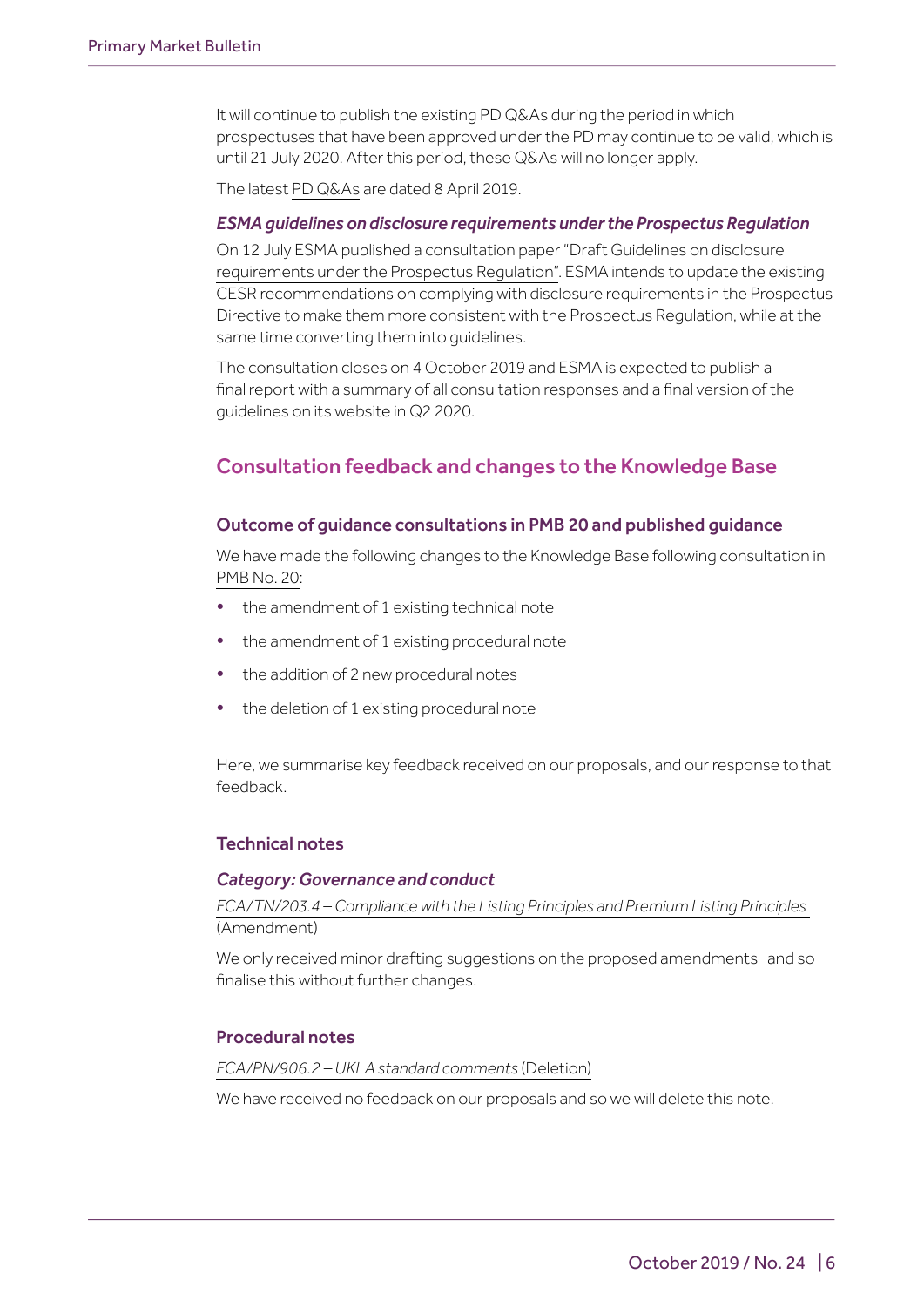It will continue to publish the existing PD Q&As during the period in which prospectuses that have been approved under the PD may continue to be valid, which is until 21 July 2020. After this period, these Q&As will no longer apply.

The latest [PD Q&As](https://www.esma.europa.eu/sites/default/files/library/esma31-62-780_qa_on_prospectus_related_topics.pdf) are dated 8 April 2019.

#### *ESMA guidelines on disclosure requirements under the Prospectus Regulation*

On 12 July ESMA published a consultation paper ["Draft Guidelines on disclosure](https://www.esma.europa.eu/sites/default/files/library/esma31-62-1239_cp_on_guidelines_on_prospectus_disclosure.pdf)  [requirements under the Prospectus Regulation".](https://www.esma.europa.eu/sites/default/files/library/esma31-62-1239_cp_on_guidelines_on_prospectus_disclosure.pdf) ESMA intends to update the existing CESR recommendations on complying with disclosure requirements in the Prospectus Directive to make them more consistent with the Prospectus Regulation, while at the same time converting them into guidelines.

The consultation closes on 4 October 2019 and ESMA is expected to publish a final report with a summary of all consultation responses and a final version of the guidelines on its website in Q2 2020.

# Consultation feedback and changes to the Knowledge Base

## Outcome of guidance consultations in PMB 20 and published guidance

We have made the following changes to the Knowledge Base following consultation in [PMB No. 20:](https://www.fca.org.uk/publication/newsletters/primary-market-bulletin-20.pdf)

- the amendment of 1 existing technical note
- the amendment of 1 existing procedural note
- the addition of 2 new procedural notes
- the deletion of 1 existing procedural note

Here, we summarise key feedback received on our proposals, and our response to that feedback.

## Technical notes

#### *Category: Governance and conduct*

*[FCA/TN/203.4 – Compliance with the Listing Principles and Premium Listing Principles](https://www.fca.org.uk/publication/ukla/tn-203-4.pdf)* [\(Amendment\)](https://www.fca.org.uk/publication/ukla/tn-203-4.pdf)

We only received minor drafting suggestions on the proposed amendments and so finalise this without further changes.

## Procedural notes

#### *[FCA/PN/906.2 – UKLA standard comments](https://www.fca.org.uk/publication/ukla/pn-906-1.pdf)* (Deletion)

We have received no feedback on our proposals and so we will delete this note.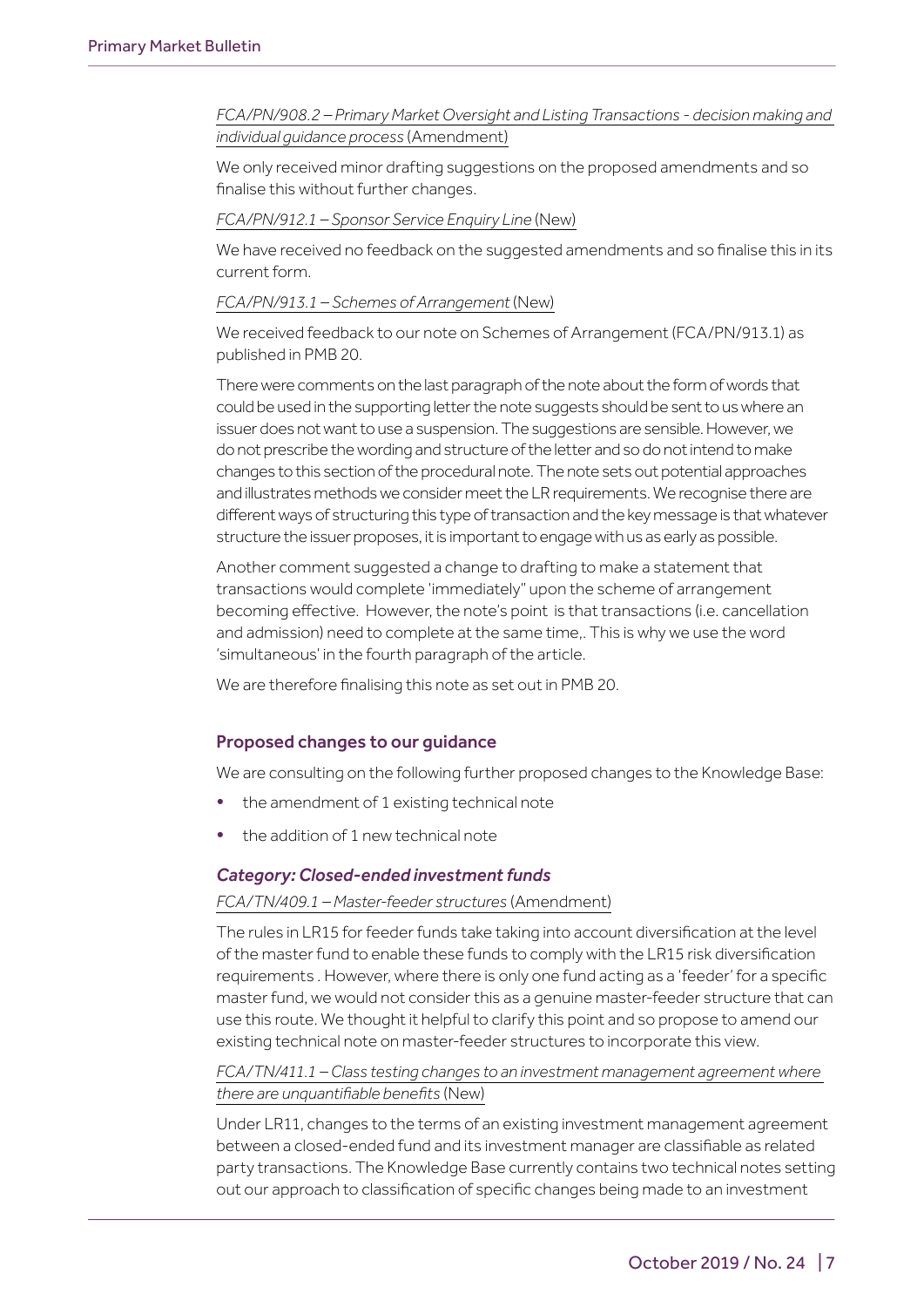#### *[FCA/PN/908.2 – Primary Market Oversight and Listing Transactions - decision making and](https://www.fca.org.uk/publication/ukla/pn-908-2.pdf)  [individual guidance process](https://www.fca.org.uk/publication/ukla/pn-908-2.pdf)* (Amendment)

We only received minor drafting suggestions on the proposed amendments and so finalise this without further changes.

#### *[FCA/PN/912.1 – Sponsor Service Enquiry Line](https://www.fca.org.uk/publication/ukla/pn-912-1.pdf)* (New)

We have received no feedback on the suggested amendments and so finalise this in its current form.

#### *[FCA/PN/913.1 – Schemes of Arrangement](https://www.fca.org.uk/publication/ukla/pn-913-1.pdf)* (New)

We received feedback to our note on Schemes of Arrangement (FCA/PN/913.1) as published in PMB 20.

There were comments on the last paragraph of the note about the form of words that could be used in the supporting letter the note suggests should be sent to us where an issuer does not want to use a suspension. The suggestions are sensible. However, we do not prescribe the wording and structure of the letter and so do not intend to make changes to this section of the procedural note. The note sets out potential approaches and illustrates methods we consider meet the LR requirements. We recognise there are different ways of structuring this type of transaction and the key message is that whatever structure the issuer proposes, it is important to engage with us as early as possible.

Another comment suggested a change to drafting to make a statement that transactions would complete 'immediately" upon the scheme of arrangement becoming effective. However, the note's point is that transactions (i.e. cancellation and admission) need to complete at the same time,. This is why we use the word 'simultaneous' in the fourth paragraph of the article.

We are therefore finalising this note as set out in PMB 20.

## Proposed changes to our guidance

We are consulting on the following further proposed changes to the Knowledge Base:

- the amendment of 1 existing technical note
- the addition of 1 new technical note

#### *Category: Closed-ended investment funds*

#### *[FCA/TN/409.1 – Master-feeder structures](https://www.fca.org.uk/publication/ukla/tn-409-1.pdf)* (Amendment)

The rules in LR15 for feeder funds take taking into account diversification at the level of the master fund to enable these funds to comply with the LR15 risk diversification requirements . However, where there is only one fund acting as a 'feeder' for a specific master fund, we would not consider this as a genuine master-feeder structure that can use this route. We thought it helpful to clarify this point and so propose to amend our existing technical note on master-feeder structures to incorporate this view.

*[FCA/TN/411.1 – Class testing changes to an investment management agreement where](https://www.fca.org.uk/publication/ukla/tn-411-1.pdf)  [there are unquantifiable benefits](https://www.fca.org.uk/publication/ukla/tn-411-1.pdf)* (New)

Under LR11, changes to the terms of an existing investment management agreement between a closed-ended fund and its investment manager are classifiable as related party transactions. The Knowledge Base currently contains two technical notes setting out our approach to classification of specific changes being made to an investment